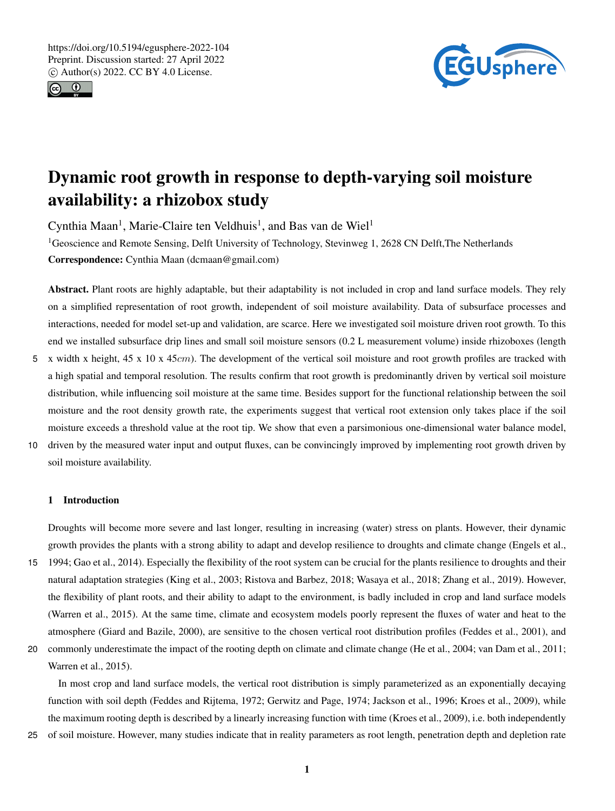



# Dynamic root growth in response to depth-varying soil moisture availability: a rhizobox study

Cynthia Maan<sup>1</sup>, Marie-Claire ten Veldhuis<sup>1</sup>, and Bas van de Wiel<sup>1</sup>

<sup>1</sup>Geoscience and Remote Sensing, Delft University of Technology, Stevinweg 1, 2628 CN Delft, The Netherlands Correspondence: Cynthia Maan (dcmaan@gmail.com)

Abstract. Plant roots are highly adaptable, but their adaptability is not included in crop and land surface models. They rely on a simplified representation of root growth, independent of soil moisture availability. Data of subsurface processes and interactions, needed for model set-up and validation, are scarce. Here we investigated soil moisture driven root growth. To this end we installed subsurface drip lines and small soil moisture sensors (0.2 L measurement volume) inside rhizoboxes (length

- 5 x width x height,  $45 \times 10 \times 45$ cm). The development of the vertical soil moisture and root growth profiles are tracked with a high spatial and temporal resolution. The results confirm that root growth is predominantly driven by vertical soil moisture distribution, while influencing soil moisture at the same time. Besides support for the functional relationship between the soil moisture and the root density growth rate, the experiments suggest that vertical root extension only takes place if the soil moisture exceeds a threshold value at the root tip. We show that even a parsimonious one-dimensional water balance model,
- 10 driven by the measured water input and output fluxes, can be convincingly improved by implementing root growth driven by soil moisture availability.

# 1 Introduction

Droughts will become more severe and last longer, resulting in increasing (water) stress on plants. However, their dynamic growth provides the plants with a strong ability to adapt and develop resilience to droughts and climate change (Engels et al.,

- 15 1994; Gao et al., 2014). Especially the flexibility of the root system can be crucial for the plants resilience to droughts and their natural adaptation strategies (King et al., 2003; Ristova and Barbez, 2018; Wasaya et al., 2018; Zhang et al., 2019). However, the flexibility of plant roots, and their ability to adapt to the environment, is badly included in crop and land surface models (Warren et al., 2015). At the same time, climate and ecosystem models poorly represent the fluxes of water and heat to the atmosphere (Giard and Bazile, 2000), are sensitive to the chosen vertical root distribution profiles (Feddes et al., 2001), and
- 20 commonly underestimate the impact of the rooting depth on climate and climate change (He et al., 2004; van Dam et al., 2011; Warren et al., 2015).

In most crop and land surface models, the vertical root distribution is simply parameterized as an exponentially decaying function with soil depth (Feddes and Rijtema, 1972; Gerwitz and Page, 1974; Jackson et al., 1996; Kroes et al., 2009), while the maximum rooting depth is described by a linearly increasing function with time (Kroes et al., 2009), i.e. both independently

25 of soil moisture. However, many studies indicate that in reality parameters as root length, penetration depth and depletion rate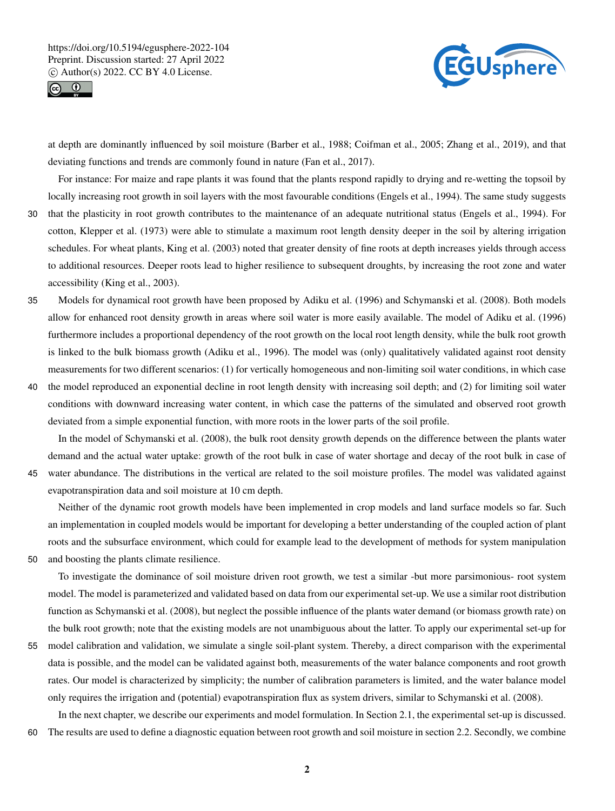



at depth are dominantly influenced by soil moisture (Barber et al., 1988; Coifman et al., 2005; Zhang et al., 2019), and that deviating functions and trends are commonly found in nature (Fan et al., 2017).

For instance: For maize and rape plants it was found that the plants respond rapidly to drying and re-wetting the topsoil by locally increasing root growth in soil layers with the most favourable conditions (Engels et al., 1994). The same study suggests

- 30 that the plasticity in root growth contributes to the maintenance of an adequate nutritional status (Engels et al., 1994). For cotton, Klepper et al. (1973) were able to stimulate a maximum root length density deeper in the soil by altering irrigation schedules. For wheat plants, King et al. (2003) noted that greater density of fine roots at depth increases yields through access to additional resources. Deeper roots lead to higher resilience to subsequent droughts, by increasing the root zone and water accessibility (King et al., 2003).
- 35 Models for dynamical root growth have been proposed by Adiku et al. (1996) and Schymanski et al. (2008). Both models allow for enhanced root density growth in areas where soil water is more easily available. The model of Adiku et al. (1996) furthermore includes a proportional dependency of the root growth on the local root length density, while the bulk root growth is linked to the bulk biomass growth (Adiku et al., 1996). The model was (only) qualitatively validated against root density measurements for two different scenarios: (1) for vertically homogeneous and non-limiting soil water conditions, in which case
- 40 the model reproduced an exponential decline in root length density with increasing soil depth; and (2) for limiting soil water conditions with downward increasing water content, in which case the patterns of the simulated and observed root growth deviated from a simple exponential function, with more roots in the lower parts of the soil profile.

In the model of Schymanski et al. (2008), the bulk root density growth depends on the difference between the plants water demand and the actual water uptake: growth of the root bulk in case of water shortage and decay of the root bulk in case of 45 water abundance. The distributions in the vertical are related to the soil moisture profiles. The model was validated against evapotranspiration data and soil moisture at 10 cm depth.

Neither of the dynamic root growth models have been implemented in crop models and land surface models so far. Such an implementation in coupled models would be important for developing a better understanding of the coupled action of plant roots and the subsurface environment, which could for example lead to the development of methods for system manipulation 50 and boosting the plants climate resilience.

To investigate the dominance of soil moisture driven root growth, we test a similar -but more parsimonious- root system model. The model is parameterized and validated based on data from our experimental set-up. We use a similar root distribution function as Schymanski et al. (2008), but neglect the possible influence of the plants water demand (or biomass growth rate) on the bulk root growth; note that the existing models are not unambiguous about the latter. To apply our experimental set-up for

55 model calibration and validation, we simulate a single soil-plant system. Thereby, a direct comparison with the experimental data is possible, and the model can be validated against both, measurements of the water balance components and root growth rates. Our model is characterized by simplicity; the number of calibration parameters is limited, and the water balance model only requires the irrigation and (potential) evapotranspiration flux as system drivers, similar to Schymanski et al. (2008).

In the next chapter, we describe our experiments and model formulation. In Section 2.1, the experimental set-up is discussed. 60 The results are used to define a diagnostic equation between root growth and soil moisture in section 2.2. Secondly, we combine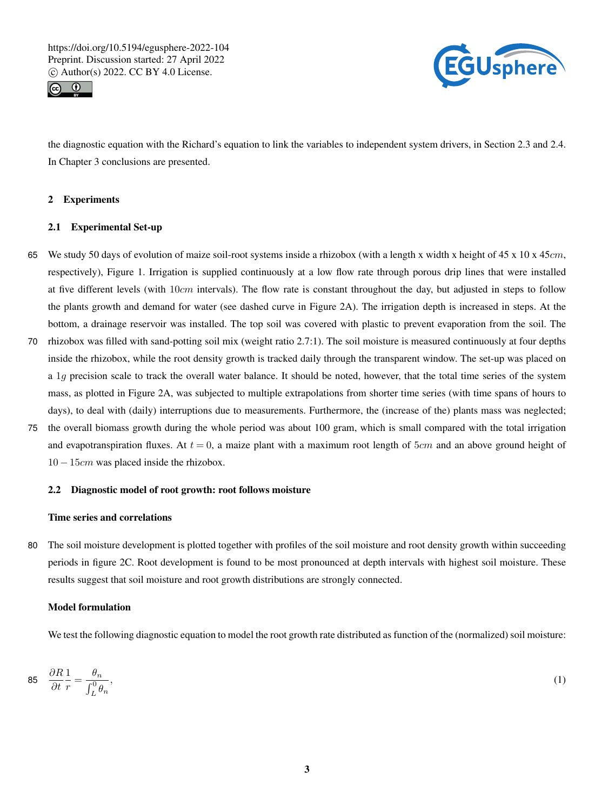



the diagnostic equation with the Richard's equation to link the variables to independent system drivers, in Section 2.3 and 2.4. In Chapter 3 conclusions are presented.

# 2 Experiments

# 2.1 Experimental Set-up

- 65 We study 50 days of evolution of maize soil-root systems inside a rhizobox (with a length x width x height of 45 x 10 x 45cm, respectively), Figure 1. Irrigation is supplied continuously at a low flow rate through porous drip lines that were installed at five different levels (with  $10cm$  intervals). The flow rate is constant throughout the day, but adjusted in steps to follow the plants growth and demand for water (see dashed curve in Figure 2A). The irrigation depth is increased in steps. At the bottom, a drainage reservoir was installed. The top soil was covered with plastic to prevent evaporation from the soil. The
- 70 rhizobox was filled with sand-potting soil mix (weight ratio 2.7:1). The soil moisture is measured continuously at four depths inside the rhizobox, while the root density growth is tracked daily through the transparent window. The set-up was placed on a 1g precision scale to track the overall water balance. It should be noted, however, that the total time series of the system mass, as plotted in Figure 2A, was subjected to multiple extrapolations from shorter time series (with time spans of hours to days), to deal with (daily) interruptions due to measurements. Furthermore, the (increase of the) plants mass was neglected;
- 75 the overall biomass growth during the whole period was about 100 gram, which is small compared with the total irrigation and evapotranspiration fluxes. At  $t = 0$ , a maize plant with a maximum root length of 5cm and an above ground height of 10 − 15cm was placed inside the rhizobox.

## 2.2 Diagnostic model of root growth: root follows moisture

# Time series and correlations

80 The soil moisture development is plotted together with profiles of the soil moisture and root density growth within succeeding periods in figure 2C. Root development is found to be most pronounced at depth intervals with highest soil moisture. These results suggest that soil moisture and root growth distributions are strongly connected.

# Model formulation

We test the following diagnostic equation to model the root growth rate distributed as function of the (normalized) soil moisture:

$$
85 \quad \frac{\partial R}{\partial t} \frac{1}{r} = \frac{\theta_n}{\int_L^0 \theta_n},\tag{1}
$$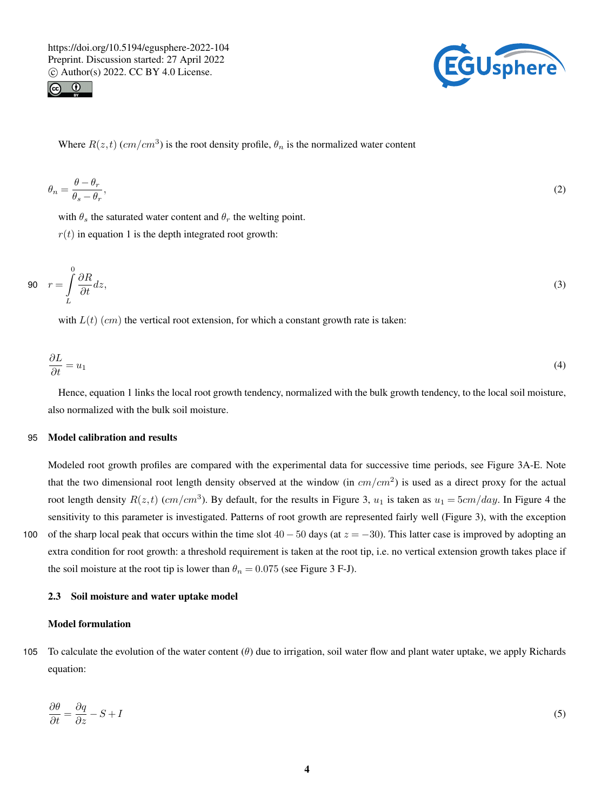



Where  $R(z,t)$  (cm/cm<sup>3</sup>) is the root density profile,  $\theta_n$  is the normalized water content

$$
\theta_n = \frac{\theta - \theta_r}{\theta_s - \theta_r},\tag{2}
$$

with  $\theta_s$  the saturated water content and  $\theta_r$  the welting point.

 $r(t)$  in equation 1 is the depth integrated root growth:

$$
90 \t r = \int_{L}^{0} \frac{\partial R}{\partial t} dz,
$$
\t(3)

with  $L(t)$  (cm) the vertical root extension, for which a constant growth rate is taken:

$$
\frac{\partial L}{\partial t} = u_1 \tag{4}
$$

Hence, equation 1 links the local root growth tendency, normalized with the bulk growth tendency, to the local soil moisture, also normalized with the bulk soil moisture.

## 95 Model calibration and results

Modeled root growth profiles are compared with the experimental data for successive time periods, see Figure 3A-E. Note that the two dimensional root length density observed at the window (in  $cm/cm<sup>2</sup>$ ) is used as a direct proxy for the actual root length density  $R(z,t)$  (cm/cm<sup>3</sup>). By default, for the results in Figure 3,  $u_1$  is taken as  $u_1 = 5cm/day$ . In Figure 4 the sensitivity to this parameter is investigated. Patterns of root growth are represented fairly well (Figure 3), with the exception 100 of the sharp local peak that occurs within the time slot  $40 - 50$  days (at  $z = -30$ ). This latter case is improved by adopting an extra condition for root growth: a threshold requirement is taken at the root tip, i.e. no vertical extension growth takes place if

#### 2.3 Soil moisture and water uptake model

the soil moisture at the root tip is lower than  $\theta_n = 0.075$  (see Figure 3 F-J).

#### Model formulation

105 To calculate the evolution of the water content  $(\theta)$  due to irrigation, soil water flow and plant water uptake, we apply Richards equation:

$$
\frac{\partial \theta}{\partial t} = \frac{\partial q}{\partial z} - S + I \tag{5}
$$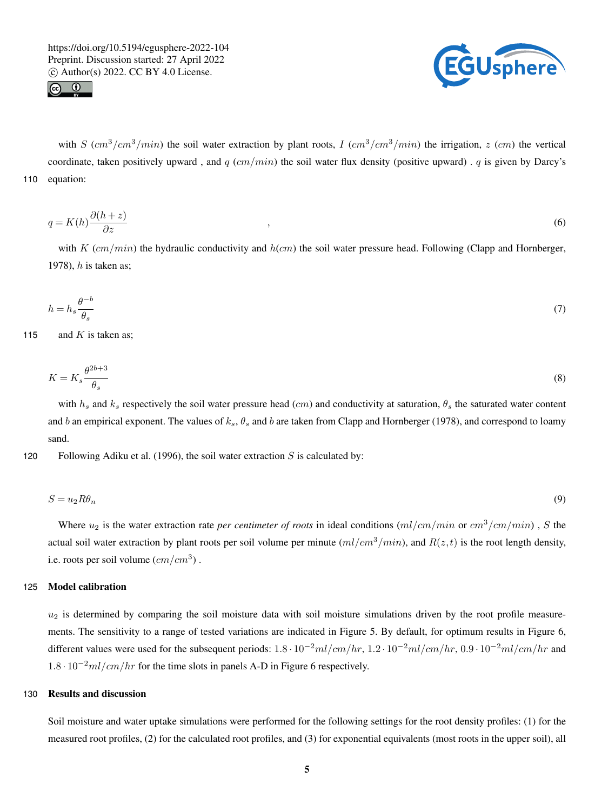



with S  $(cm^3/cm^3/min)$  the soil water extraction by plant roots, I  $(cm^3/cm^3/min)$  the irrigation, z  $(cm)$  the vertical coordinate, taken positively upward, and q  $(cm/min)$  the soil water flux density (positive upward). q is given by Darcy's 110 equation:

$$
q = K(h)\frac{\partial(h+z)}{\partial z} \tag{6}
$$

with K  $(cm/min)$  the hydraulic conductivity and  $h(cm)$  the soil water pressure head. Following (Clapp and Hornberger, 1978),  $h$  is taken as;

$$
h = h_s \frac{\theta^{-b}}{\theta_s} \tag{7}
$$

115 and K is taken as;

$$
K = K_s \frac{\theta^{2b+3}}{\theta_s} \tag{8}
$$

with  $h_s$  and  $k_s$  respectively the soil water pressure head (cm) and conductivity at saturation,  $\theta_s$  the saturated water content and b an empirical exponent. The values of  $k_s$ ,  $\theta_s$  and b are taken from Clapp and Hornberger (1978), and correspond to loamy sand.

120 Following Adiku et al. (1996), the soil water extraction  $S$  is calculated by:

$$
S = u_2 R \theta_n \tag{9}
$$

Where  $u_2$  is the water extraction rate *per centimeter of roots* in ideal conditions  $(ml/cm/min)$  or  $cm^3/cm/min)$ , S the actual soil water extraction by plant roots per soil volume per minute  $(ml/cm^3/min)$ , and  $R(z, t)$  is the root length density, i.e. roots per soil volume  $(cm/cm<sup>3</sup>)$ .

## 125 Model calibration

 $u_2$  is determined by comparing the soil moisture data with soil moisture simulations driven by the root profile measurements. The sensitivity to a range of tested variations are indicated in Figure 5. By default, for optimum results in Figure 6, different values were used for the subsequent periods:  $1.8 \cdot 10^{-2}ml/cm/hr$ ,  $1.2 \cdot 10^{-2}ml/cm/hr$ ,  $0.9 \cdot 10^{-2}ml/cm/hr$  and  $1.8 \cdot 10^{-2}$  ml/cm/hr for the time slots in panels A-D in Figure 6 respectively.

# 130 Results and discussion

Soil moisture and water uptake simulations were performed for the following settings for the root density profiles: (1) for the measured root profiles, (2) for the calculated root profiles, and (3) for exponential equivalents (most roots in the upper soil), all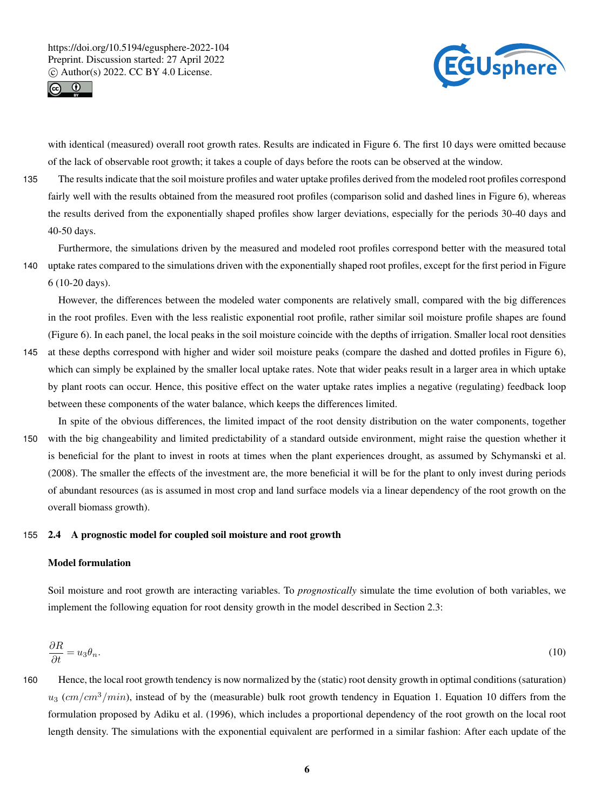



with identical (measured) overall root growth rates. Results are indicated in Figure 6. The first 10 days were omitted because of the lack of observable root growth; it takes a couple of days before the roots can be observed at the window.

135 The results indicate that the soil moisture profiles and water uptake profiles derived from the modeled root profiles correspond fairly well with the results obtained from the measured root profiles (comparison solid and dashed lines in Figure 6), whereas the results derived from the exponentially shaped profiles show larger deviations, especially for the periods 30-40 days and 40-50 days.

Furthermore, the simulations driven by the measured and modeled root profiles correspond better with the measured total 140 uptake rates compared to the simulations driven with the exponentially shaped root profiles, except for the first period in Figure 6 (10-20 days).

However, the differences between the modeled water components are relatively small, compared with the big differences in the root profiles. Even with the less realistic exponential root profile, rather similar soil moisture profile shapes are found (Figure 6). In each panel, the local peaks in the soil moisture coincide with the depths of irrigation. Smaller local root densities

- 145 at these depths correspond with higher and wider soil moisture peaks (compare the dashed and dotted profiles in Figure 6), which can simply be explained by the smaller local uptake rates. Note that wider peaks result in a larger area in which uptake by plant roots can occur. Hence, this positive effect on the water uptake rates implies a negative (regulating) feedback loop between these components of the water balance, which keeps the differences limited.
- In spite of the obvious differences, the limited impact of the root density distribution on the water components, together 150 with the big changeability and limited predictability of a standard outside environment, might raise the question whether it is beneficial for the plant to invest in roots at times when the plant experiences drought, as assumed by Schymanski et al. (2008). The smaller the effects of the investment are, the more beneficial it will be for the plant to only invest during periods of abundant resources (as is assumed in most crop and land surface models via a linear dependency of the root growth on the overall biomass growth).

## 155 2.4 A prognostic model for coupled soil moisture and root growth

# Model formulation

Soil moisture and root growth are interacting variables. To *prognostically* simulate the time evolution of both variables, we implement the following equation for root density growth in the model described in Section 2.3:

$$
\frac{\partial R}{\partial t} = u_3 \theta_n. \tag{10}
$$

160 Hence, the local root growth tendency is now normalized by the (static) root density growth in optimal conditions (saturation)  $u_3$  (cm/cm<sup>3</sup>/min), instead of by the (measurable) bulk root growth tendency in Equation 1. Equation 10 differs from the formulation proposed by Adiku et al. (1996), which includes a proportional dependency of the root growth on the local root length density. The simulations with the exponential equivalent are performed in a similar fashion: After each update of the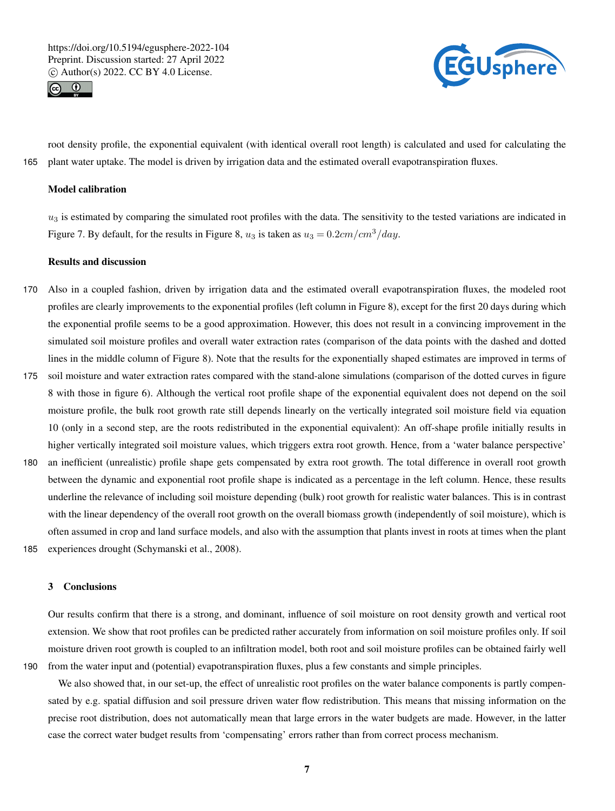



root density profile, the exponential equivalent (with identical overall root length) is calculated and used for calculating the 165 plant water uptake. The model is driven by irrigation data and the estimated overall evapotranspiration fluxes.

## Model calibration

 $u_3$  is estimated by comparing the simulated root profiles with the data. The sensitivity to the tested variations are indicated in Figure 7. By default, for the results in Figure 8,  $u_3$  is taken as  $u_3 = 0.2 \text{cm}/\text{cm}^3/\text{day}$ .

## Results and discussion

- 170 Also in a coupled fashion, driven by irrigation data and the estimated overall evapotranspiration fluxes, the modeled root profiles are clearly improvements to the exponential profiles (left column in Figure 8), except for the first 20 days during which the exponential profile seems to be a good approximation. However, this does not result in a convincing improvement in the simulated soil moisture profiles and overall water extraction rates (comparison of the data points with the dashed and dotted lines in the middle column of Figure 8). Note that the results for the exponentially shaped estimates are improved in terms of
- 175 soil moisture and water extraction rates compared with the stand-alone simulations (comparison of the dotted curves in figure 8 with those in figure 6). Although the vertical root profile shape of the exponential equivalent does not depend on the soil moisture profile, the bulk root growth rate still depends linearly on the vertically integrated soil moisture field via equation 10 (only in a second step, are the roots redistributed in the exponential equivalent): An off-shape profile initially results in higher vertically integrated soil moisture values, which triggers extra root growth. Hence, from a 'water balance perspective'
- 180 an inefficient (unrealistic) profile shape gets compensated by extra root growth. The total difference in overall root growth between the dynamic and exponential root profile shape is indicated as a percentage in the left column. Hence, these results underline the relevance of including soil moisture depending (bulk) root growth for realistic water balances. This is in contrast with the linear dependency of the overall root growth on the overall biomass growth (independently of soil moisture), which is often assumed in crop and land surface models, and also with the assumption that plants invest in roots at times when the plant 185 experiences drought (Schymanski et al., 2008).

#### 3 Conclusions

Our results confirm that there is a strong, and dominant, influence of soil moisture on root density growth and vertical root extension. We show that root profiles can be predicted rather accurately from information on soil moisture profiles only. If soil moisture driven root growth is coupled to an infiltration model, both root and soil moisture profiles can be obtained fairly well 190 from the water input and (potential) evapotranspiration fluxes, plus a few constants and simple principles.

We also showed that, in our set-up, the effect of unrealistic root profiles on the water balance components is partly compensated by e.g. spatial diffusion and soil pressure driven water flow redistribution. This means that missing information on the precise root distribution, does not automatically mean that large errors in the water budgets are made. However, in the latter case the correct water budget results from 'compensating' errors rather than from correct process mechanism.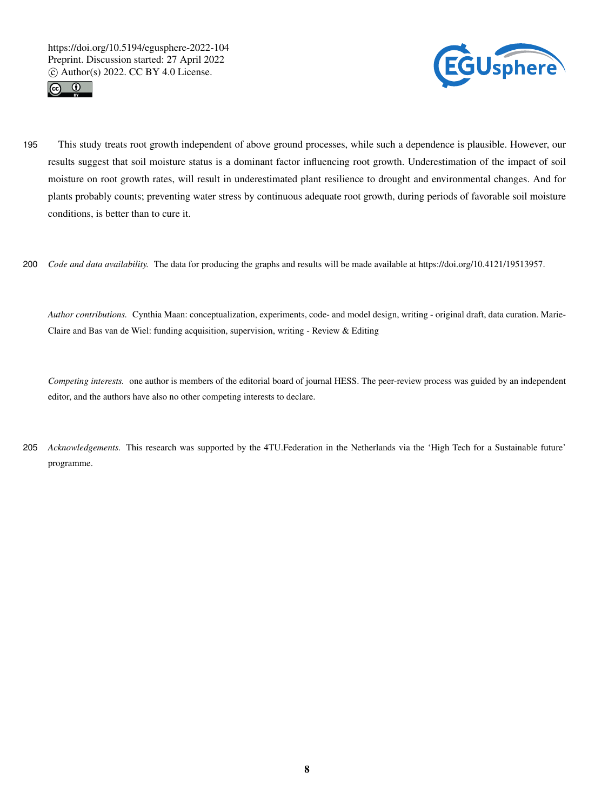



- 195 This study treats root growth independent of above ground processes, while such a dependence is plausible. However, our results suggest that soil moisture status is a dominant factor influencing root growth. Underestimation of the impact of soil moisture on root growth rates, will result in underestimated plant resilience to drought and environmental changes. And for plants probably counts; preventing water stress by continuous adequate root growth, during periods of favorable soil moisture conditions, is better than to cure it.
- 200 *Code and data availability.* The data for producing the graphs and results will be made available at https://doi.org/10.4121/19513957.

*Author contributions.* Cynthia Maan: conceptualization, experiments, code- and model design, writing - original draft, data curation. Marie-Claire and Bas van de Wiel: funding acquisition, supervision, writing - Review & Editing

*Competing interests.* one author is members of the editorial board of journal HESS. The peer-review process was guided by an independent editor, and the authors have also no other competing interests to declare.

205 *Acknowledgements.* This research was supported by the 4TU.Federation in the Netherlands via the 'High Tech for a Sustainable future' programme.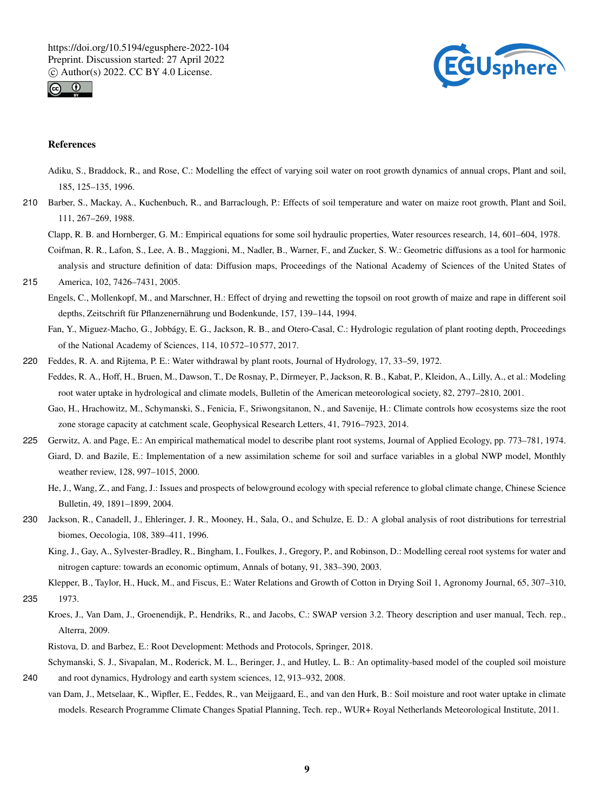



## References

- Adiku, S., Braddock, R., and Rose, C.: Modelling the effect of varying soil water on root growth dynamics of annual crops, Plant and soil, 185, 125–135, 1996.
- 210 Barber, S., Mackay, A., Kuchenbuch, R., and Barraclough, P.: Effects of soil temperature and water on maize root growth, Plant and Soil, 111, 267–269, 1988.

Clapp, R. B. and Hornberger, G. M.: Empirical equations for some soil hydraulic properties, Water resources research, 14, 601–604, 1978. Coifman, R. R., Lafon, S., Lee, A. B., Maggioni, M., Nadler, B., Warner, F., and Zucker, S. W.: Geometric diffusions as a tool for harmonic

- analysis and structure definition of data: Diffusion maps, Proceedings of the National Academy of Sciences of the United States of 215 America, 102, 7426–7431, 2005.
	- Engels, C., Mollenkopf, M., and Marschner, H.: Effect of drying and rewetting the topsoil on root growth of maize and rape in different soil depths, Zeitschrift für Pflanzenernährung und Bodenkunde, 157, 139–144, 1994.

Fan, Y., Miguez-Macho, G., Jobbágy, E. G., Jackson, R. B., and Otero-Casal, C.: Hydrologic regulation of plant rooting depth, Proceedings of the National Academy of Sciences, 114, 10 572–10 577, 2017.

- 220 Feddes, R. A. and Rijtema, P. E.: Water withdrawal by plant roots, Journal of Hydrology, 17, 33–59, 1972.
	- Feddes, R. A., Hoff, H., Bruen, M., Dawson, T., De Rosnay, P., Dirmeyer, P., Jackson, R. B., Kabat, P., Kleidon, A., Lilly, A., et al.: Modeling root water uptake in hydrological and climate models, Bulletin of the American meteorological society, 82, 2797–2810, 2001.

Gao, H., Hrachowitz, M., Schymanski, S., Fenicia, F., Sriwongsitanon, N., and Savenije, H.: Climate controls how ecosystems size the root zone storage capacity at catchment scale, Geophysical Research Letters, 41, 7916–7923, 2014.

- 225 Gerwitz, A. and Page, E.: An empirical mathematical model to describe plant root systems, Journal of Applied Ecology, pp. 773–781, 1974. Giard, D. and Bazile, E.: Implementation of a new assimilation scheme for soil and surface variables in a global NWP model, Monthly weather review, 128, 997–1015, 2000.
	- He, J., Wang, Z., and Fang, J.: Issues and prospects of belowground ecology with special reference to global climate change, Chinese Science Bulletin, 49, 1891–1899, 2004.
- 230 Jackson, R., Canadell, J., Ehleringer, J. R., Mooney, H., Sala, O., and Schulze, E. D.: A global analysis of root distributions for terrestrial biomes, Oecologia, 108, 389–411, 1996.
	- King, J., Gay, A., Sylvester-Bradley, R., Bingham, I., Foulkes, J., Gregory, P., and Robinson, D.: Modelling cereal root systems for water and nitrogen capture: towards an economic optimum, Annals of botany, 91, 383–390, 2003.

Klepper, B., Taylor, H., Huck, M., and Fiscus, E.: Water Relations and Growth of Cotton in Drying Soil 1, Agronomy Journal, 65, 307–310, 235 1973.

Kroes, J., Van Dam, J., Groenendijk, P., Hendriks, R., and Jacobs, C.: SWAP version 3.2. Theory description and user manual, Tech. rep., Alterra, 2009.

Ristova, D. and Barbez, E.: Root Development: Methods and Protocols, Springer, 2018.

Schymanski, S. J., Sivapalan, M., Roderick, M. L., Beringer, J., and Hutley, L. B.: An optimality-based model of the coupled soil moisture 240 and root dynamics, Hydrology and earth system sciences, 12, 913–932, 2008.

van Dam, J., Metselaar, K., Wipfler, E., Feddes, R., van Meijgaard, E., and van den Hurk, B.: Soil moisture and root water uptake in climate models. Research Programme Climate Changes Spatial Planning, Tech. rep., WUR+ Royal Netherlands Meteorological Institute, 2011.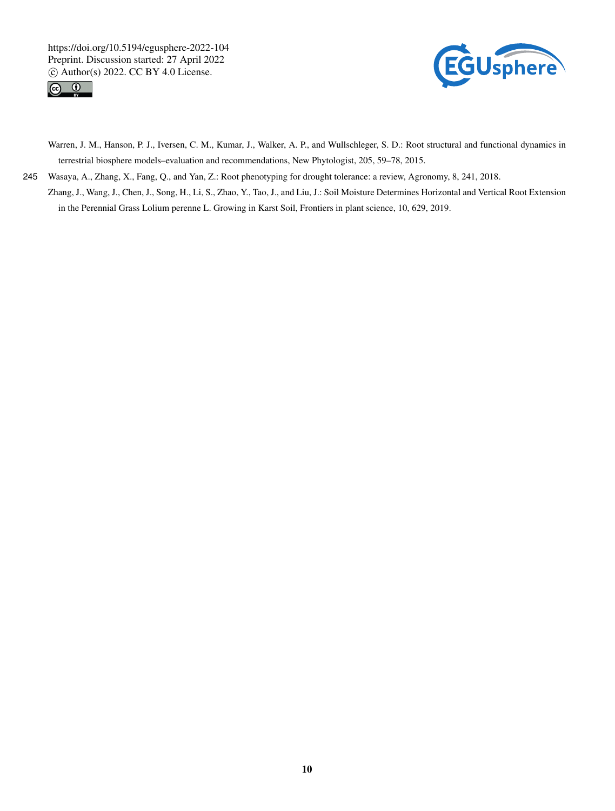



Warren, J. M., Hanson, P. J., Iversen, C. M., Kumar, J., Walker, A. P., and Wullschleger, S. D.: Root structural and functional dynamics in terrestrial biosphere models–evaluation and recommendations, New Phytologist, 205, 59–78, 2015.

245 Wasaya, A., Zhang, X., Fang, Q., and Yan, Z.: Root phenotyping for drought tolerance: a review, Agronomy, 8, 241, 2018. Zhang, J., Wang, J., Chen, J., Song, H., Li, S., Zhao, Y., Tao, J., and Liu, J.: Soil Moisture Determines Horizontal and Vertical Root Extension

in the Perennial Grass Lolium perenne L. Growing in Karst Soil, Frontiers in plant science, 10, 629, 2019.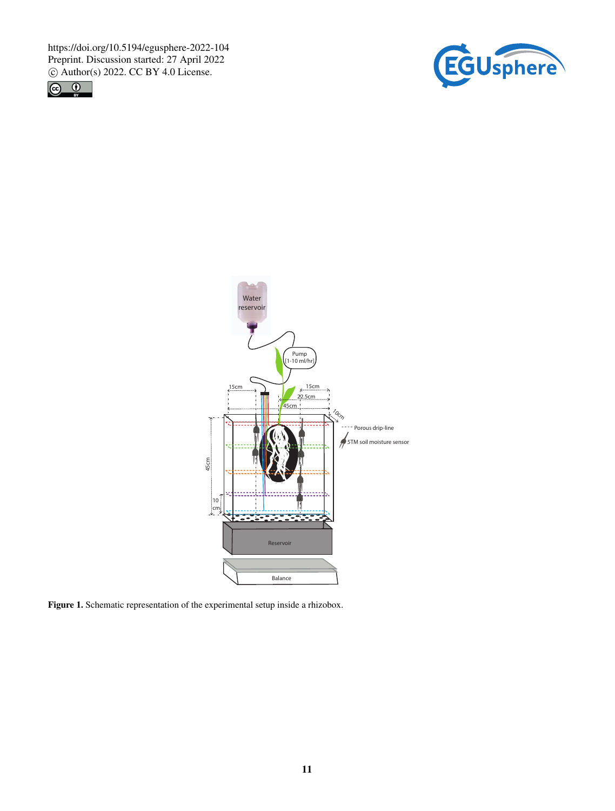https://doi.org/10.5194/egusphere-2022-104 Preprint. Discussion started: 27 April 2022  $\circledcirc$  Author(s) 2022. CC BY 4.0 License.<br>  $\circledcirc$   $\circledcirc$ 







Figure 1. Schematic representation of the experimental setup inside a rhizobox.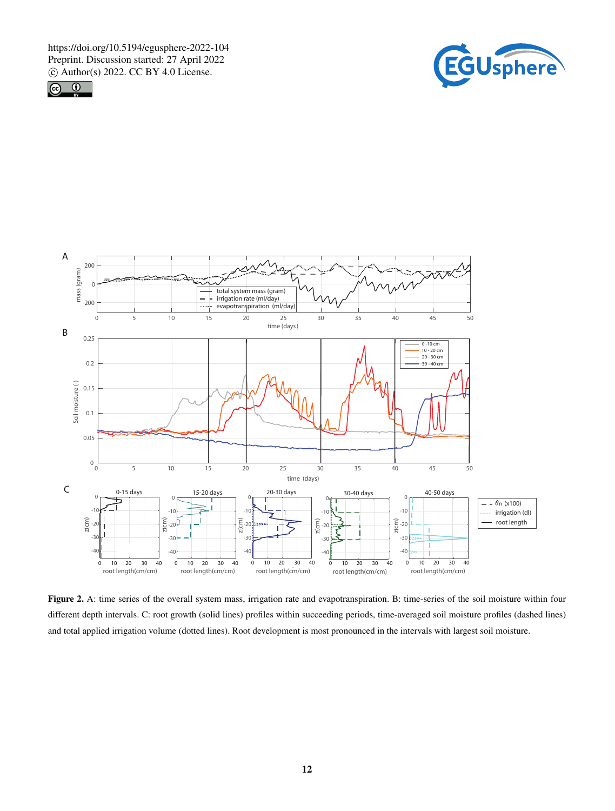





Figure 2. A: time series of the overall system mass, irrigation rate and evapotranspiration. B: time-series of the soil moisture within four different depth intervals. C: root growth (solid lines) profiles within succeeding periods, time-averaged soil moisture profiles (dashed lines) and total applied irrigation volume (dotted lines). Root development is most pronounced in the intervals with largest soil moisture.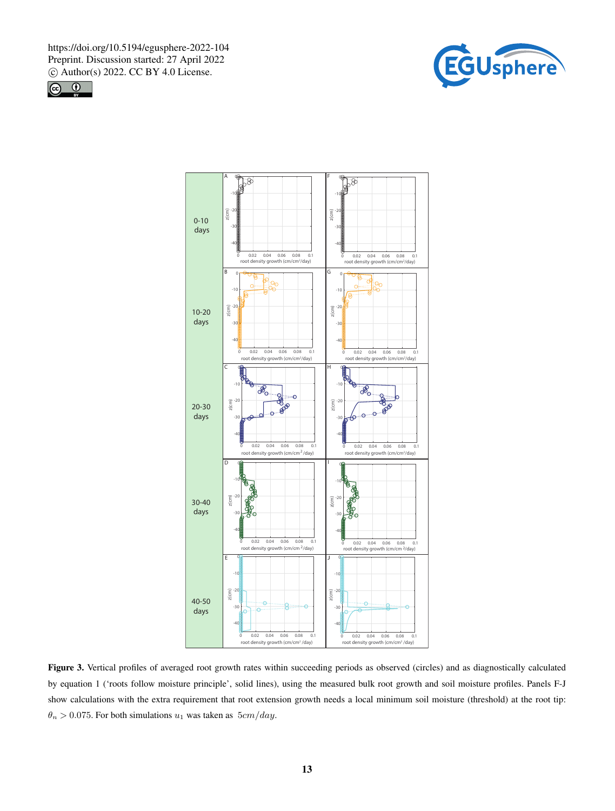





Figure 3. Vertical profiles of averaged root growth rates within succeeding periods as observed (circles) and as diagnostically calculated by equation 1 ('roots follow moisture principle', solid lines), using the measured bulk root growth and soil moisture profiles. Panels F-J show calculations with the extra requirement that root extension growth needs a local minimum soil moisture (threshold) at the root tip:  $\theta_n > 0.075$ . For both simulations  $u_1$  was taken as  $5cm/day$ .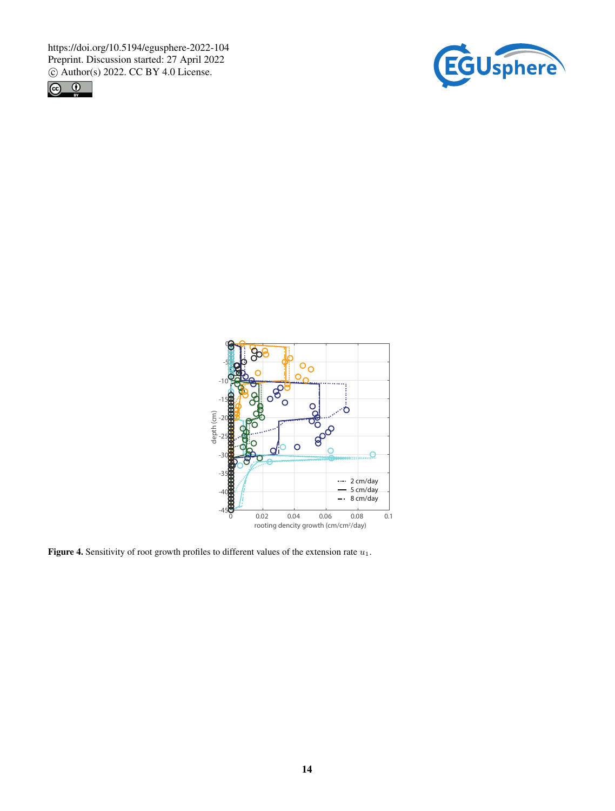





Figure 4. Sensitivity of root growth profiles to different values of the extension rate  $u_1$ .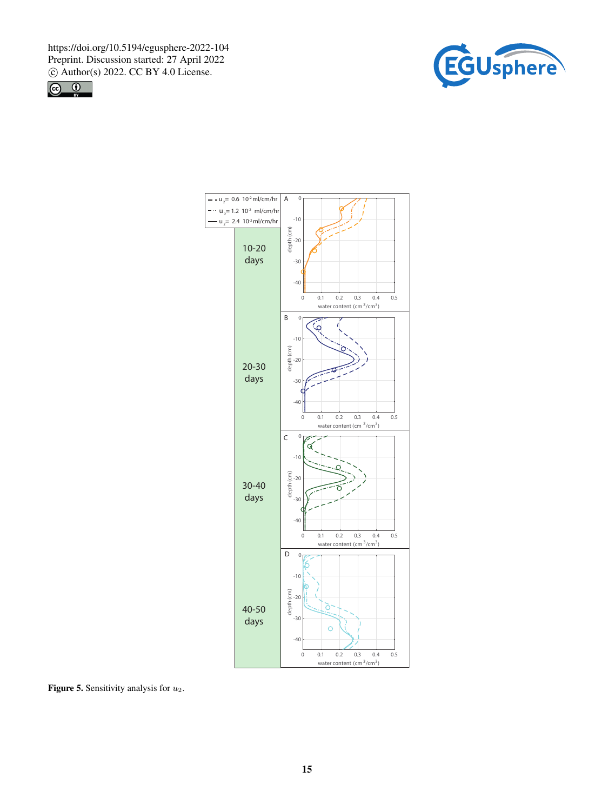



![](_page_14_Figure_3.jpeg)

Figure 5. Sensitivity analysis for  $u_2$ .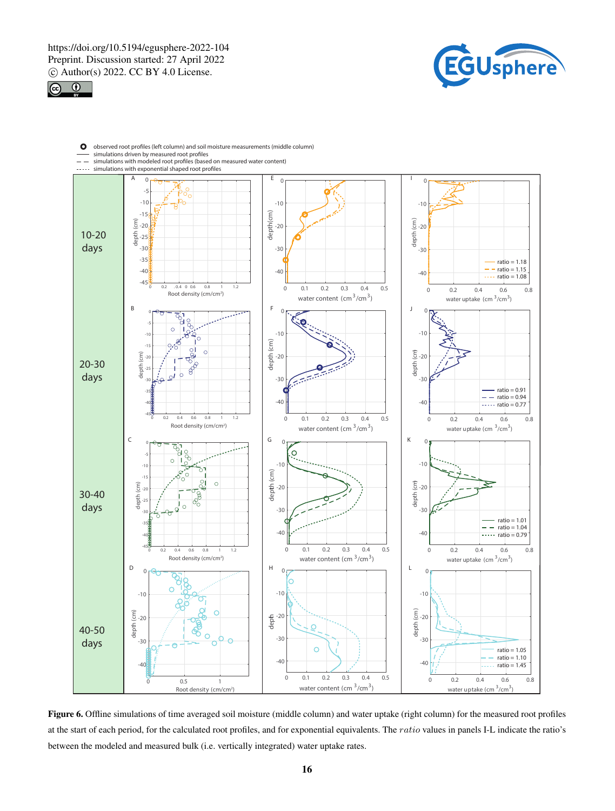![](_page_15_Picture_1.jpeg)

![](_page_15_Picture_2.jpeg)

![](_page_15_Figure_3.jpeg)

Figure 6. Offline simulations of time averaged soil moisture (middle column) and water uptake (right column) for the measured root profiles at the start of each period, for the calculated root profiles, and for exponential equivalents. The ratio values in panels I-L indicate the ratio's between the modeled and measured bulk (i.e. vertically integrated) water uptake rates.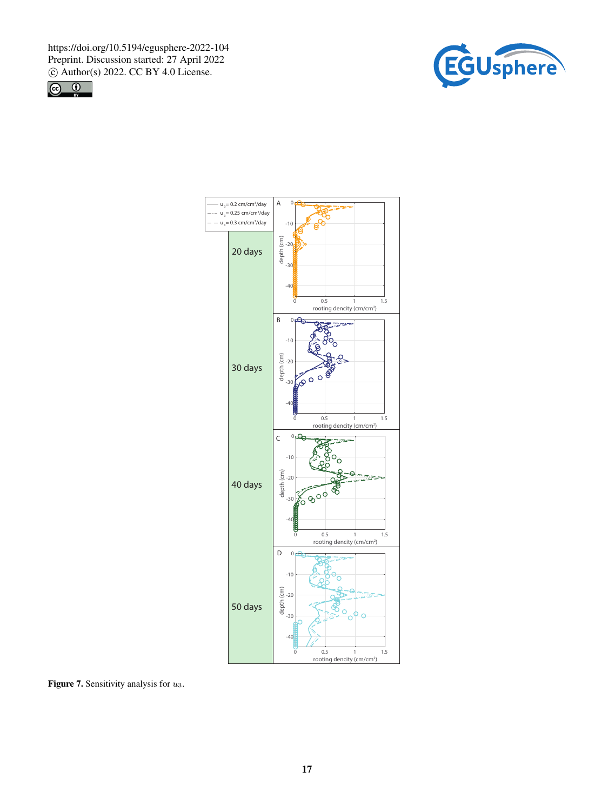![](_page_16_Picture_1.jpeg)

![](_page_16_Picture_2.jpeg)

![](_page_16_Figure_3.jpeg)

Figure 7. Sensitivity analysis for  $u_3$ .